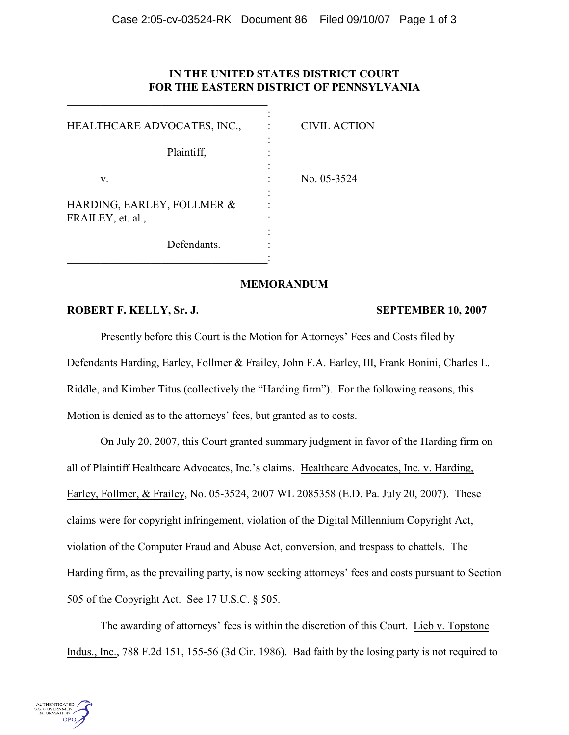## **IN THE UNITED STATES DISTRICT COURT FOR THE EASTERN DISTRICT OF PENNSYLVANIA**

| HEALTHCARE ADVOCATES, INC.,                     | <b>CIVIL ACTION</b> |
|-------------------------------------------------|---------------------|
| Plaintiff,                                      |                     |
| v.                                              | No. 05-3524         |
| HARDING, EARLEY, FOLLMER &<br>FRAILEY, et. al., |                     |
| Defendants.                                     |                     |

\_\_\_\_\_\_\_\_\_\_\_\_\_\_\_\_\_\_\_\_\_\_\_\_\_\_\_\_\_\_\_\_\_\_\_\_

## **MEMORANDUM**

## **ROBERT F. KELLY, Sr. J. SEPTEMBER 10, 2007**

Presently before this Court is the Motion for Attorneys' Fees and Costs filed by Defendants Harding, Earley, Follmer & Frailey, John F.A. Earley, III, Frank Bonini, Charles L. Riddle, and Kimber Titus (collectively the "Harding firm"). For the following reasons, this Motion is denied as to the attorneys' fees, but granted as to costs.

On July 20, 2007, this Court granted summary judgment in favor of the Harding firm on all of Plaintiff Healthcare Advocates, Inc.'s claims. Healthcare Advocates, Inc. v. Harding, Earley, Follmer, & Frailey, No. 05-3524, 2007 WL 2085358 (E.D. Pa. July 20, 2007). These claims were for copyright infringement, violation of the Digital Millennium Copyright Act, violation of the Computer Fraud and Abuse Act, conversion, and trespass to chattels. The Harding firm, as the prevailing party, is now seeking attorneys' fees and costs pursuant to Section 505 of the Copyright Act. See 17 U.S.C. § 505.

The awarding of attorneys' fees is within the discretion of this Court. Lieb v. Topstone Indus., Inc., 788 F.2d 151, 155-56 (3d Cir. 1986). Bad faith by the losing party is not required to

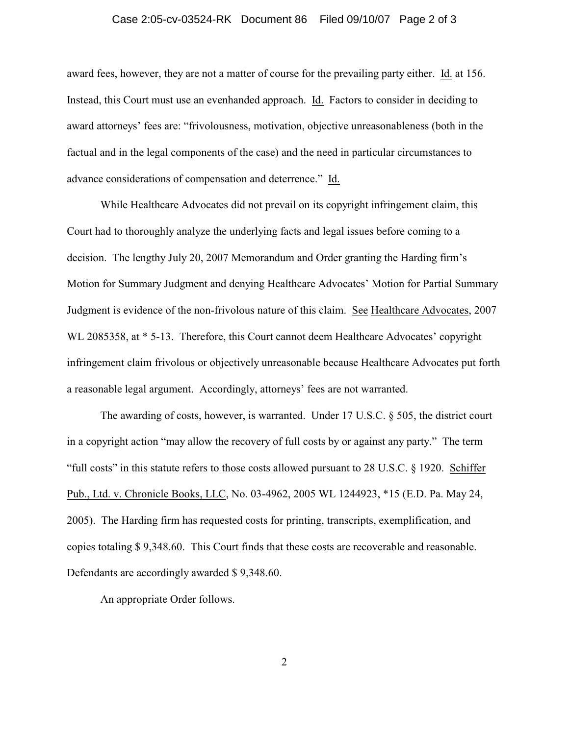### Case 2:05-cv-03524-RK Document 86 Filed 09/10/07 Page 2 of 3

award fees, however, they are not a matter of course for the prevailing party either. Id. at 156. Instead, this Court must use an evenhanded approach. Id. Factors to consider in deciding to award attorneys' fees are: "frivolousness, motivation, objective unreasonableness (both in the factual and in the legal components of the case) and the need in particular circumstances to advance considerations of compensation and deterrence." Id.

While Healthcare Advocates did not prevail on its copyright infringement claim, this Court had to thoroughly analyze the underlying facts and legal issues before coming to a decision. The lengthy July 20, 2007 Memorandum and Order granting the Harding firm's Motion for Summary Judgment and denying Healthcare Advocates' Motion for Partial Summary Judgment is evidence of the non-frivolous nature of this claim. See Healthcare Advocates, 2007 WL 2085358, at  $*$  5-13. Therefore, this Court cannot deem Healthcare Advocates' copyright infringement claim frivolous or objectively unreasonable because Healthcare Advocates put forth a reasonable legal argument. Accordingly, attorneys' fees are not warranted.

The awarding of costs, however, is warranted. Under 17 U.S.C. § 505, the district court in a copyright action "may allow the recovery of full costs by or against any party." The term "full costs" in this statute refers to those costs allowed pursuant to 28 U.S.C. § 1920. Schiffer Pub., Ltd. v. Chronicle Books, LLC, No. 03-4962, 2005 WL 1244923, \*15 (E.D. Pa. May 24, 2005). The Harding firm has requested costs for printing, transcripts, exemplification, and copies totaling \$ 9,348.60. This Court finds that these costs are recoverable and reasonable. Defendants are accordingly awarded \$ 9,348.60.

An appropriate Order follows.